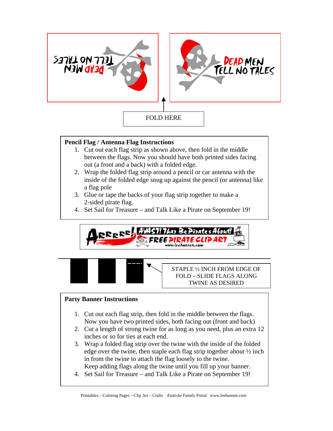

## **Pencil Flag / Antenna Flag Instructions**

- 1. Cut out each flag strip as shown above, then fold in the middle between the flags. Now you should have both printed sides facing out (a front and a back) with a folded edge.
- 2. Wrap the folded flag strip around a pencil or car antenna with the inside of the folded edge snug up against the pencil (or antenna) like a flag pole
- 3. Glue or tape the backs of your flag strip together to make a 2-sided pirate flag.
- 4. Set Sail for Treasure and Talk Like a Pirate on September 19!





STAPLE ½ INCH FROM EDGE OF FOLD – SLIDE FLAGS ALONG TWINE AS DESIRED

## **Party Banner Instructions**

- 1. Cut out each flag strip, then fold in the middle between the flags. Now you have two printed sides, both facing out (front and back)
- 2. Cut a length of strong twine for as long as you need, plus an extra 12 inches or so for ties at each end.
- 3. Wrap a folded flag strip over the twine with the inside of the folded edge over the twine, then staple each flag strip together about ½ inch in from the twine to attach the flag loosely to the twine. Keep adding flags along the twine until you fill up your banner.
- 4. Set Sail for Treasure and Talk Like a Pirate on September 19!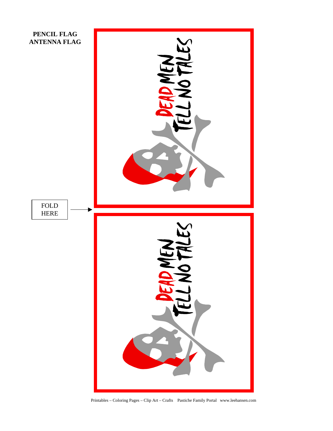